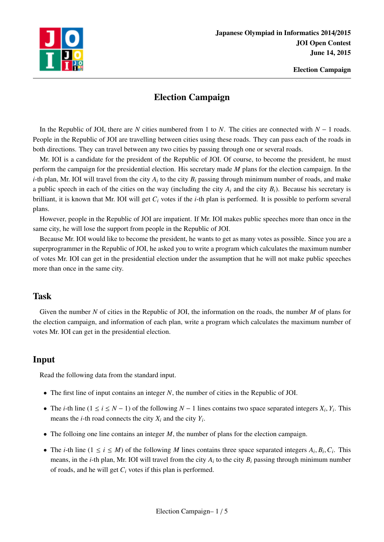

## Election Campaign

In the Republic of JOI, there are *N* cities numbered from 1 to *N*. The cities are connected with *N* − 1 roads. People in the Republic of JOI are travelling between cities using these roads. They can pass each of the roads in both directions. They can travel between any two cities by passing through one or several roads.

Mr. IOI is a candidate for the president of the Republic of JOI. Of course, to become the president, he must perform the campaign for the presidential election. His secretary made *M* plans for the election campaign. In the *i*-th plan, Mr. IOI will travel from the city  $A_i$  to the city  $B_i$  passing through minimum number of roads, and make a public speech in each of the cities on the way (including the city  $A_i$  and the city  $B_i$ ). Because his secretary is brilliant, it is known that Mr. IOI will get *C<sup>i</sup>* votes if the *i*-th plan is performed. It is possible to perform several plans.

However, people in the Republic of JOI are impatient. If Mr. IOI makes public speeches more than once in the same city, he will lose the support from people in the Republic of JOI.

Because Mr. IOI would like to become the president, he wants to get as many votes as possible. Since you are a superprogrammer in the Republic of JOI, he asked you to write a program which calculates the maximum number of votes Mr. IOI can get in the presidential election under the assumption that he will not make public speeches more than once in the same city.

## Task

Given the number *N* of cities in the Republic of JOI, the information on the roads, the number *M* of plans for the election campaign, and information of each plan, write a program which calculates the maximum number of votes Mr. IOI can get in the presidential election.

## Input

Read the following data from the standard input.

- The first line of input contains an integer *N*, the number of cities in the Republic of JOI.
- The *i*-th line  $(1 \le i \le N 1)$  of the following  $N 1$  lines contains two space separated integers  $X_i, Y_i$ . This means the *i*-th road connects the city  $X_i$  and the city  $Y_i$ .
- The folloing one line contains an integer *M*, the number of plans for the election campaign.
- The *i*-th line  $(1 \le i \le M)$  of the following *M* lines contains three space separated integers  $A_i, B_i, C_i$ . This means, in the *i*-th plan, Mr. IOI will travel from the city *A<sup>i</sup>* to the city *B<sup>i</sup>* passing through minimum number of roads, and he will get *C<sup>i</sup>* votes if this plan is performed.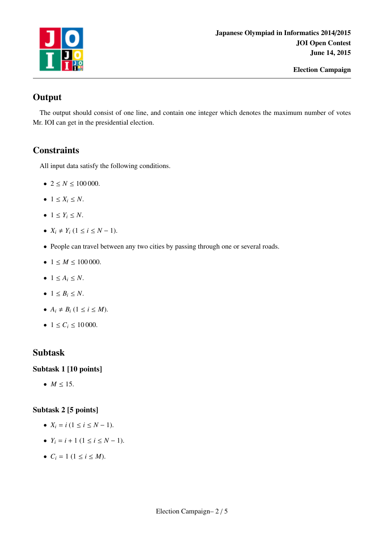

# **Output**

The output should consist of one line, and contain one integer which denotes the maximum number of votes Mr. IOI can get in the presidential election.

## **Constraints**

All input data satisfy the following conditions.

- $2 \le N \le 100000$ .
- $1 \leq X_i \leq N$ .
- $1 \le Y_i \le N$ .
- $X_i \neq Y_i$  (1 ≤ *i* ≤ *N* − 1).
- People can travel between any two cities by passing through one or several roads.
- $1 \leq M \leq 100000$ .
- $\bullet$  1  $\leq A_i \leq N$ .
- $\bullet$  1  $\leq B_i \leq N$ .
- $A_i \neq B_i$  (1  $\leq i \leq M$ ).
- $1 \le C_i \le 10000$ .

## Subtask

#### Subtask 1 [10 points]

•  $M \le 15$ .

#### Subtask 2 [5 points]

- $X_i = i (1 \le i \le N 1).$
- $Y_i = i + 1 (1 \le i \le N 1).$
- $C_i = 1$  ( $1 \le i \le M$ ).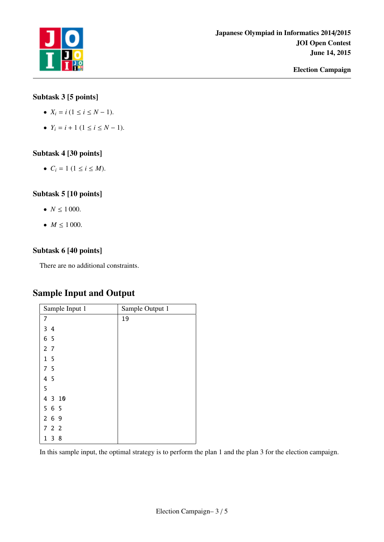

### Subtask 3 [5 points]

- $X_i = i (1 \le i \le N 1).$
- $Y_i = i + 1 (1 \le i \le N 1).$

#### Subtask 4 [30 points]

•  $C_i = 1 \ (1 \le i \le M).$ 

#### Subtask 5 [10 points]

- $N \le 1000$ .
- $M \le 1000$ .

#### Subtask 6 [40 points]

There are no additional constraints.

## Sample Input and Output

| Sample Input 1 | Sample Output 1 |
|----------------|-----------------|
| 7              | 19              |
| 34             |                 |
| 6 5            |                 |
| 2 <sub>7</sub> |                 |
| 1 <sub>5</sub> |                 |
| 7 <sub>5</sub> |                 |
| 4 5            |                 |
| 5              |                 |
| 4 3 10         |                 |
| 565            |                 |
| 269            |                 |
| 722            |                 |
| 3<br>8<br>1    |                 |

In this sample input, the optimal strategy is to perform the plan 1 and the plan 3 for the election campaign.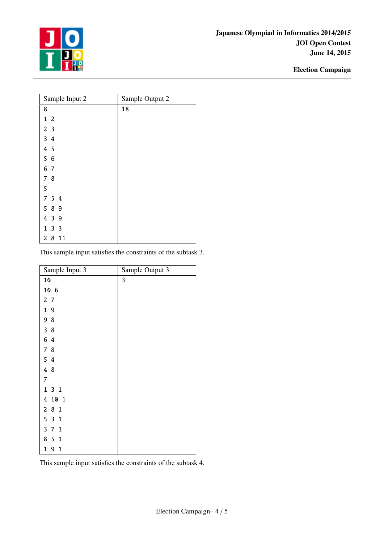

| Sample Input 2 | Sample Output 2 |
|----------------|-----------------|
| 8              | 18              |
| 1 <sub>2</sub> |                 |
| 2 <sub>3</sub> |                 |
| 34             |                 |
| 4 5            |                 |
| 5 6            |                 |
| 6 7            |                 |
| 78             |                 |
| 5              |                 |
| 7 5 4          |                 |
| 5 8 9          |                 |
| 4 3 9          |                 |
| 133            |                 |
| 8<br>2<br>11   |                 |

This sample input satisfies the constraints of the subtask 3.

| Sample Input 3                    | Sample Output 3 |
|-----------------------------------|-----------------|
| 10                                | 3               |
| 10 6                              |                 |
| 2 <sub>7</sub>                    |                 |
| 19                                |                 |
| 98                                |                 |
| 38                                |                 |
| 6 4                               |                 |
| 7 8                               |                 |
| 54                                |                 |
| 4 8                               |                 |
| $\overline{7}$                    |                 |
| 131                               |                 |
| 4 10 1                            |                 |
| 281                               |                 |
| 531                               |                 |
| 371                               |                 |
| 8 5 1                             |                 |
| $\mathbf{1}$<br>9<br>$\mathbf{1}$ |                 |

This sample input satisfies the constraints of the subtask 4.